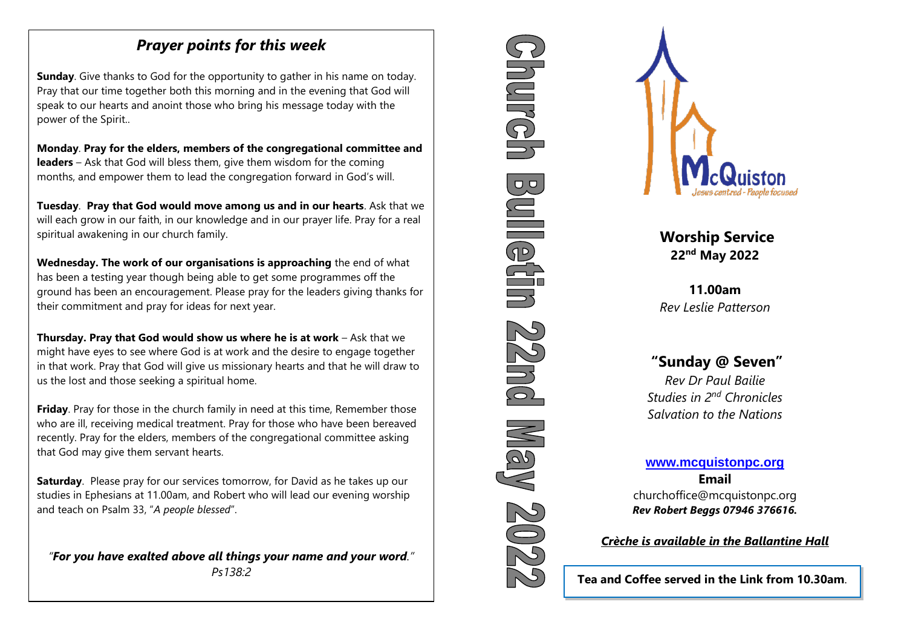## *Prayer points for this week*

*Craic'n'Coffee* - has ended

 power of the Spirit.. **Sunday**. Give thanks to God for the opportunity to gather in his name on today. Pray that our time together both this morning and in the evening that God will speak to our hearts and anoint those who bring his message today with the

**Monday**. **Pray for the elders, members of the congregational committee and leaders** – Ask that God will bless them, give them wisdom for the coming months, and empower them to lead the congregation forward in God's will.

**Tuesday**. **Pray that God would move among us and in our hearts**. Ask that we will each grow in our faith, in our knowledge and in our prayer life. Pray for a real spiritual awakening in our church family.

**Wednesday. The work of our organisations is approaching** the end of what has been a testing year though being able to get some programmes off the ground has been an encouragement. Please pray for the leaders giving thanks for their commitment and pray for ideas for next year.

**Thursday. Pray that God would show us where he is at work** – Ask that we might have eyes to see where God is at work and the desire to engage together in that work. Pray that God will give us missionary hearts and that he will draw to us the lost and those seeking a spiritual home.

**Friday**. Pray for those in the church family in need at this time, Remember those who are ill, receiving medical treatment. Pray for those who have been bereaved recently. Pray for the elders, members of the congregational committee asking that God may give them servant hearts.

**Saturday**. Please pray for our services tomorrow, for David as he takes up our studies in Ephesians at 11.00am, and Robert who will lead our evening worship and teach on Psalm 33, "*A people blessed*".

*"For you have exalted above all things your name and your word."* 





**Worship Service 22nd May 2022**

**11.00am** *Rev Leslie Patterson*

# **"Sunday @ Seven"**

*Rev Dr Paul Bailie Studies in 2nd Chronicles Salvation to the Nations*

# **[www.mcquistonpc.org](http://www.mcquistonpc.org/)**

**Email**  churchoffice@mcquistonpc.org *Rev Robert Beggs 07946 376616.*

### *Crèche is available in the Ballantine Hall*